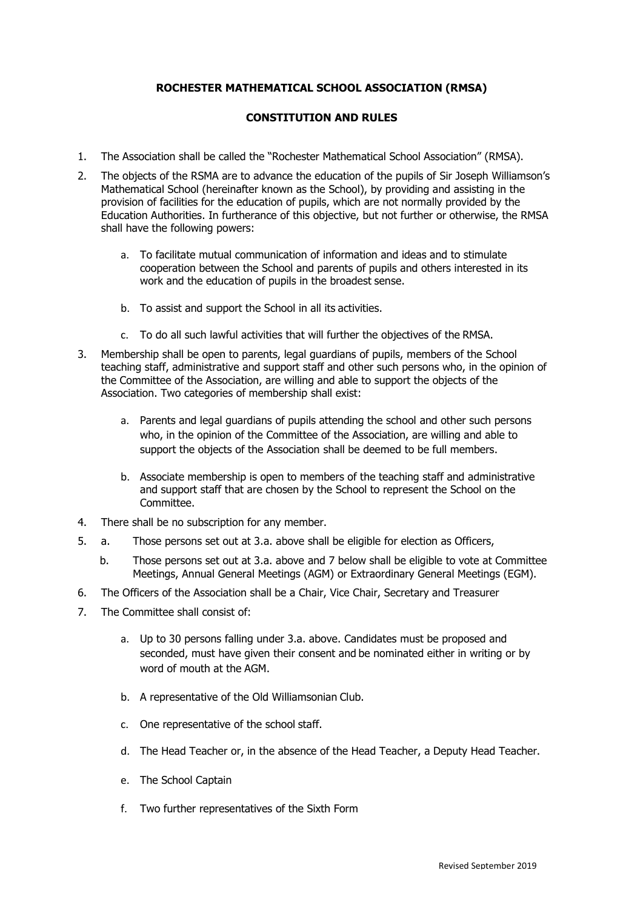## **ROCHESTER MATHEMATICAL SCHOOL ASSOCIATION (RMSA)**

## **CONSTITUTION AND RULES**

- 1. The Association shall be called the "Rochester Mathematical School Association" (RMSA).
- 2. The objects of the RSMA are to advance the education of the pupils of Sir Joseph Williamson's Mathematical School (hereinafter known as the School), by providing and assisting in the provision of facilities for the education of pupils, which are not normally provided by the Education Authorities. In furtherance of this objective, but not further or otherwise, the RMSA shall have the following powers:
	- a. To facilitate mutual communication of information and ideas and to stimulate cooperation between the School and parents of pupils and others interested in its work and the education of pupils in the broadest sense.
	- b. To assist and support the School in all its activities.
	- c. To do all such lawful activities that will further the objectives of the RMSA.
- 3. Membership shall be open to parents, legal guardians of pupils, members of the School teaching staff, administrative and support staff and other such persons who, in the opinion of the Committee of the Association, are willing and able to support the objects of the Association. Two categories of membership shall exist:
	- a. Parents and legal guardians of pupils attending the school and other such persons who, in the opinion of the Committee of the Association, are willing and able to support the objects of the Association shall be deemed to be full members.
	- b. Associate membership is open to members of the teaching staff and administrative and support staff that are chosen by the School to represent the School on the Committee.
- 4. There shall be no subscription for any member.
- 5. a. Those persons set out at 3.a. above shall be eligible for election as Officers,
	- b. Those persons set out at 3.a. above and 7 below shall be eligible to vote at Committee Meetings, Annual General Meetings (AGM) or Extraordinary General Meetings (EGM).
- 6. The Officers of the Association shall be a Chair, Vice Chair, Secretary and Treasurer
- 7. The Committee shall consist of:
	- a. Up to 30 persons falling under 3.a. above. Candidates must be proposed and seconded, must have given their consent and be nominated either in writing or by word of mouth at the AGM.
	- b. A representative of the Old Williamsonian Club.
	- c. One representative of the school staff.
	- d. The Head Teacher or, in the absence of the Head Teacher, a Deputy Head Teacher.
	- e. The School Captain
	- f. Two further representatives of the Sixth Form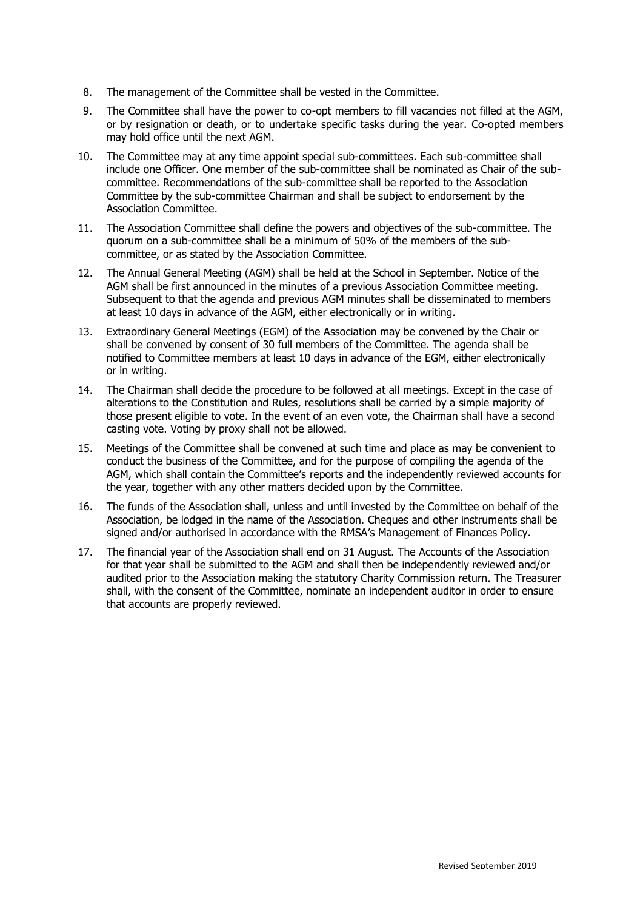- 8. The management of the Committee shall be vested in the Committee.
- 9. The Committee shall have the power to co-opt members to fill vacancies not filled at the AGM, or by resignation or death, or to undertake specific tasks during the year. Co-opted members may hold office until the next AGM.
- 10. The Committee may at any time appoint special sub-committees. Each sub-committee shall include one Officer. One member of the sub-committee shall be nominated as Chair of the subcommittee. Recommendations of the sub-committee shall be reported to the Association Committee by the sub-committee Chairman and shall be subject to endorsement by the Association Committee.
- 11. The Association Committee shall define the powers and objectives of the sub-committee. The quorum on a sub-committee shall be a minimum of 50% of the members of the subcommittee, or as stated by the Association Committee.
- 12. The Annual General Meeting (AGM) shall be held at the School in September. Notice of the AGM shall be first announced in the minutes of a previous Association Committee meeting. Subsequent to that the agenda and previous AGM minutes shall be disseminated to members at least 10 days in advance of the AGM, either electronically or in writing.
- 13. Extraordinary General Meetings (EGM) of the Association may be convened by the Chair or shall be convened by consent of 30 full members of the Committee. The agenda shall be notified to Committee members at least 10 days in advance of the EGM, either electronically or in writing.
- 14. The Chairman shall decide the procedure to be followed at all meetings. Except in the case of alterations to the Constitution and Rules, resolutions shall be carried by a simple majority of those present eligible to vote. In the event of an even vote, the Chairman shall have a second casting vote. Voting by proxy shall not be allowed.
- 15. Meetings of the Committee shall be convened at such time and place as may be convenient to conduct the business of the Committee, and for the purpose of compiling the agenda of the AGM, which shall contain the Committee's reports and the independently reviewed accounts for the year, together with any other matters decided upon by the Committee.
- 16. The funds of the Association shall, unless and until invested by the Committee on behalf of the Association, be lodged in the name of the Association. Cheques and other instruments shall be signed and/or authorised in accordance with the RMSA's Management of Finances Policy.
- 17. The financial year of the Association shall end on 31 August. The Accounts of the Association for that year shall be submitted to the AGM and shall then be independently reviewed and/or audited prior to the Association making the statutory Charity Commission return. The Treasurer shall, with the consent of the Committee, nominate an independent auditor in order to ensure that accounts are properly reviewed.